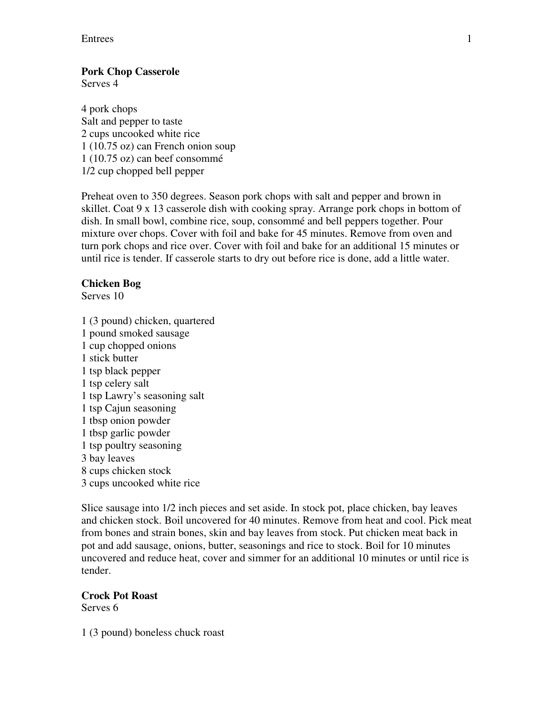### Entrees 1

### **Pork Chop Casserole**

Serves 4

4 pork chops Salt and pepper to taste 2 cups uncooked white rice 1 (10.75 oz) can French onion soup 1 (10.75 oz) can beef consommé 1/2 cup chopped bell pepper

Preheat oven to 350 degrees. Season pork chops with salt and pepper and brown in skillet. Coat 9 x 13 casserole dish with cooking spray. Arrange pork chops in bottom of dish. In small bowl, combine rice, soup, consommé and bell peppers together. Pour mixture over chops. Cover with foil and bake for 45 minutes. Remove from oven and turn pork chops and rice over. Cover with foil and bake for an additional 15 minutes or until rice is tender. If casserole starts to dry out before rice is done, add a little water.

### **Chicken Bog**

Serves 10

1 (3 pound) chicken, quartered 1 pound smoked sausage 1 cup chopped onions 1 stick butter 1 tsp black pepper 1 tsp celery salt 1 tsp Lawry's seasoning salt 1 tsp Cajun seasoning 1 tbsp onion powder 1 tbsp garlic powder 1 tsp poultry seasoning 3 bay leaves 8 cups chicken stock 3 cups uncooked white rice

Slice sausage into 1/2 inch pieces and set aside. In stock pot, place chicken, bay leaves and chicken stock. Boil uncovered for 40 minutes. Remove from heat and cool. Pick meat from bones and strain bones, skin and bay leaves from stock. Put chicken meat back in pot and add sausage, onions, butter, seasonings and rice to stock. Boil for 10 minutes uncovered and reduce heat, cover and simmer for an additional 10 minutes or until rice is tender.

# **Crock Pot Roast**

Serves 6

1 (3 pound) boneless chuck roast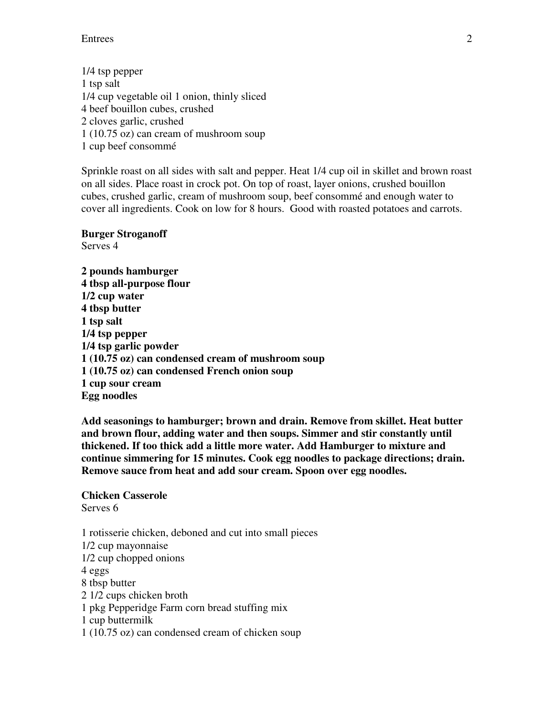Entrees 2

1/4 tsp pepper 1 tsp salt 1/4 cup vegetable oil 1 onion, thinly sliced 4 beef bouillon cubes, crushed 2 cloves garlic, crushed 1 (10.75 oz) can cream of mushroom soup 1 cup beef consommé

Sprinkle roast on all sides with salt and pepper. Heat 1/4 cup oil in skillet and brown roast on all sides. Place roast in crock pot. On top of roast, layer onions, crushed bouillon cubes, crushed garlic, cream of mushroom soup, beef consommé and enough water to cover all ingredients. Cook on low for 8 hours. Good with roasted potatoes and carrots.

**Burger Stroganoff**  Serves 4

**2 pounds hamburger 4 tbsp all-purpose flour 1/2 cup water 4 tbsp butter 1 tsp salt 1/4 tsp pepper 1/4 tsp garlic powder 1 (10.75 oz) can condensed cream of mushroom soup 1 (10.75 oz) can condensed French onion soup 1 cup sour cream Egg noodles** 

**Add seasonings to hamburger; brown and drain. Remove from skillet. Heat butter and brown flour, adding water and then soups. Simmer and stir constantly until thickened. If too thick add a little more water. Add Hamburger to mixture and continue simmering for 15 minutes. Cook egg noodles to package directions; drain. Remove sauce from heat and add sour cream. Spoon over egg noodles.** 

**Chicken Casserole**  Serves 6

1 rotisserie chicken, deboned and cut into small pieces 1/2 cup mayonnaise 1/2 cup chopped onions 4 eggs 8 tbsp butter 2 1/2 cups chicken broth 1 pkg Pepperidge Farm corn bread stuffing mix 1 cup buttermilk 1 (10.75 oz) can condensed cream of chicken soup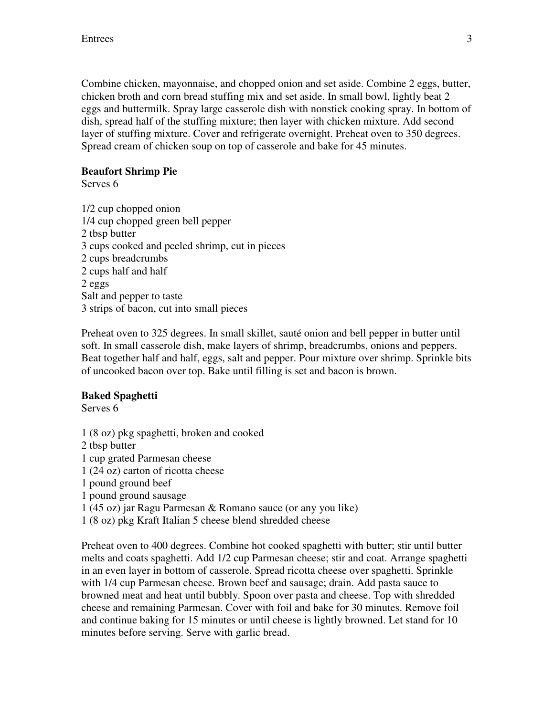Combine chicken, mayonnaise, and chopped onion and set aside. Combine 2 eggs, butter, chicken broth and corn bread stuffing mix and set aside. In small bowl, lightly beat 2 eggs and buttermilk. Spray large casserole dish with nonstick cooking spray. In bottom of dish, spread half of the stuffing mixture; then layer with chicken mixture. Add second layer of stuffing mixture. Cover and refrigerate overnight. Preheat oven to 350 degrees. Spread cream of chicken soup on top of casserole and bake for 45 minutes.

## **Beaufort Shrimp Pie**

Serves 6

1/2 cup chopped onion 1/4 cup chopped green bell pepper 2 tbsp butter 3 cups cooked and peeled shrimp, cut in pieces 2 cups breadcrumbs 2 cups half and half 2 eggs Salt and pepper to taste 3 strips of bacon, cut into small pieces

Preheat oven to 325 degrees. In small skillet, sauté onion and bell pepper in butter until soft. In small casserole dish, make layers of shrimp, breadcrumbs, onions and peppers. Beat together half and half, eggs, salt and pepper. Pour mixture over shrimp. Sprinkle bits of uncooked bacon over top. Bake until filling is set and bacon is brown.

## **Baked Spaghetti**

Serves 6

1 (8 oz) pkg spaghetti, broken and cooked 2 tbsp butter 1 cup grated Parmesan cheese 1 (24 oz) carton of ricotta cheese 1 pound ground beef 1 pound ground sausage 1 (45 oz) jar Ragu Parmesan & Romano sauce (or any you like)

1 (8 oz) pkg Kraft Italian 5 cheese blend shredded cheese

Preheat oven to 400 degrees. Combine hot cooked spaghetti with butter; stir until butter melts and coats spaghetti. Add 1/2 cup Parmesan cheese; stir and coat. Arrange spaghetti in an even layer in bottom of casserole. Spread ricotta cheese over spaghetti. Sprinkle with 1/4 cup Parmesan cheese. Brown beef and sausage; drain. Add pasta sauce to browned meat and heat until bubbly. Spoon over pasta and cheese. Top with shredded cheese and remaining Parmesan. Cover with foil and bake for 30 minutes. Remove foil and continue baking for 15 minutes or until cheese is lightly browned. Let stand for 10 minutes before serving. Serve with garlic bread.